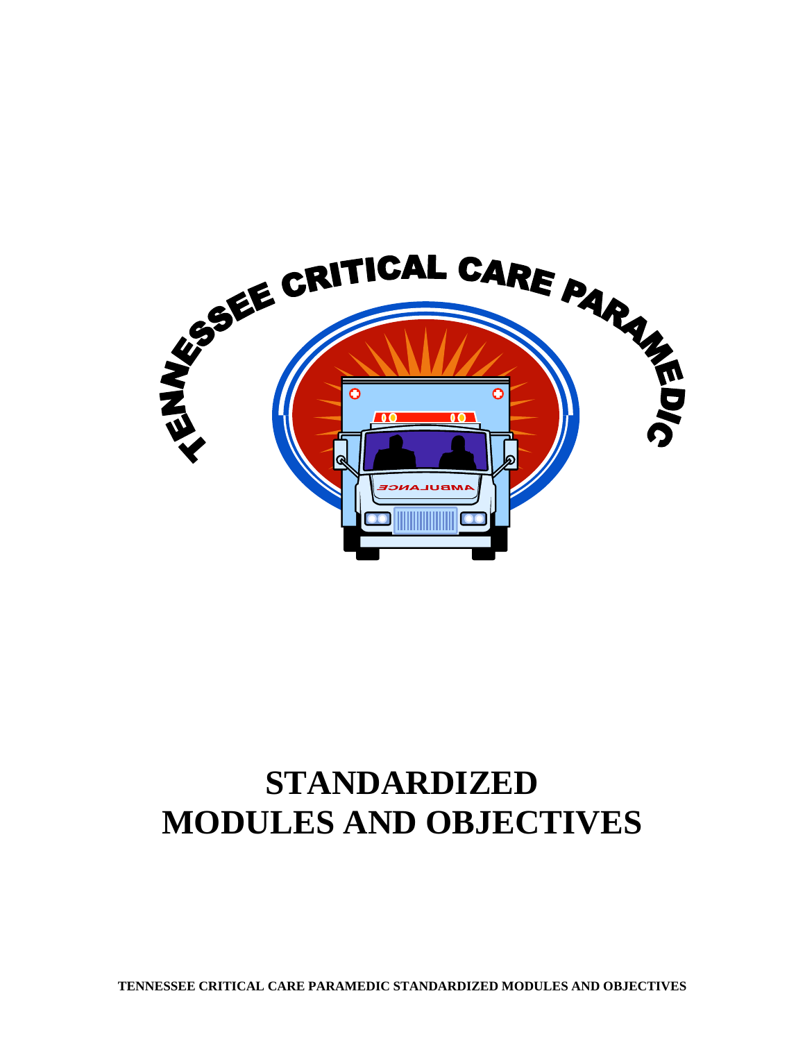

# **STANDARDIZED MODULES AND OBJECTIVES**

**TENNESSEE CRITICAL CARE PARAMEDIC STANDARDIZED MODULES AND OBJECTIVES**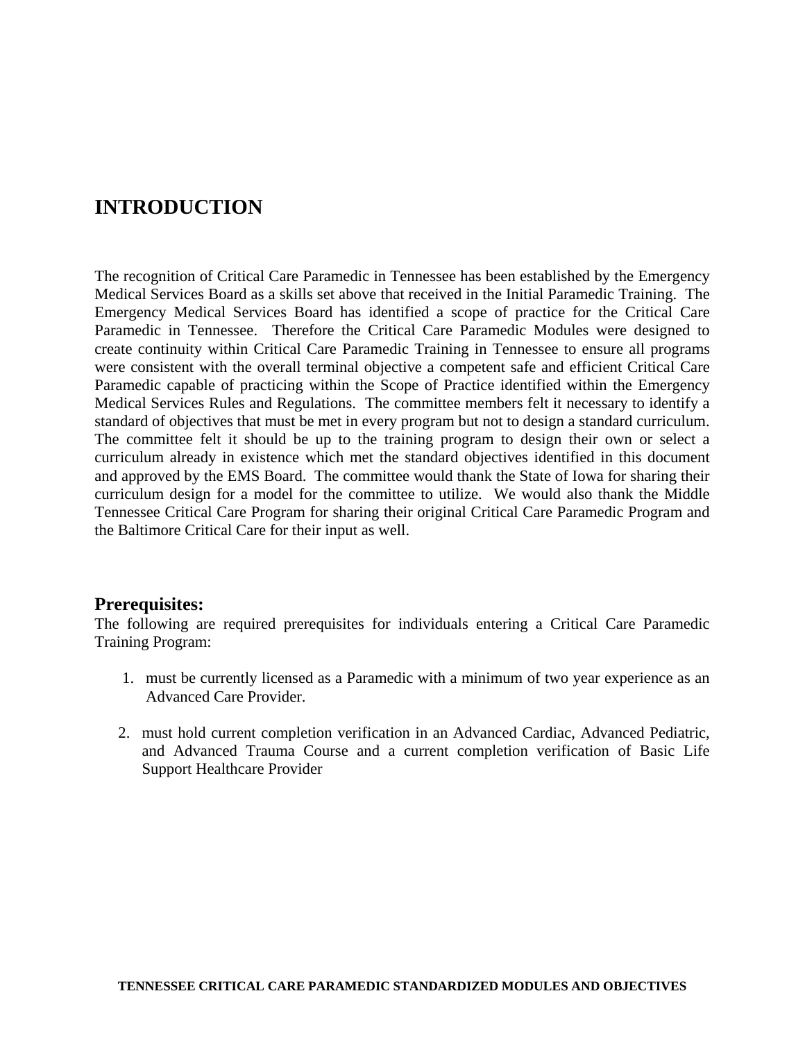## **INTRODUCTION**

The recognition of Critical Care Paramedic in Tennessee has been established by the Emergency Medical Services Board as a skills set above that received in the Initial Paramedic Training. The Emergency Medical Services Board has identified a scope of practice for the Critical Care Paramedic in Tennessee. Therefore the Critical Care Paramedic Modules were designed to create continuity within Critical Care Paramedic Training in Tennessee to ensure all programs were consistent with the overall terminal objective a competent safe and efficient Critical Care Paramedic capable of practicing within the Scope of Practice identified within the Emergency Medical Services Rules and Regulations. The committee members felt it necessary to identify a standard of objectives that must be met in every program but not to design a standard curriculum. The committee felt it should be up to the training program to design their own or select a curriculum already in existence which met the standard objectives identified in this document and approved by the EMS Board. The committee would thank the State of Iowa for sharing their curriculum design for a model for the committee to utilize. We would also thank the Middle Tennessee Critical Care Program for sharing their original Critical Care Paramedic Program and the Baltimore Critical Care for their input as well.

#### **Prerequisites:**

The following are required prerequisites for individuals entering a Critical Care Paramedic Training Program:

- 1. must be currently licensed as a Paramedic with a minimum of two year experience as an Advanced Care Provider.
- 2. must hold current completion verification in an Advanced Cardiac, Advanced Pediatric, and Advanced Trauma Course and a current completion verification of Basic Life Support Healthcare Provider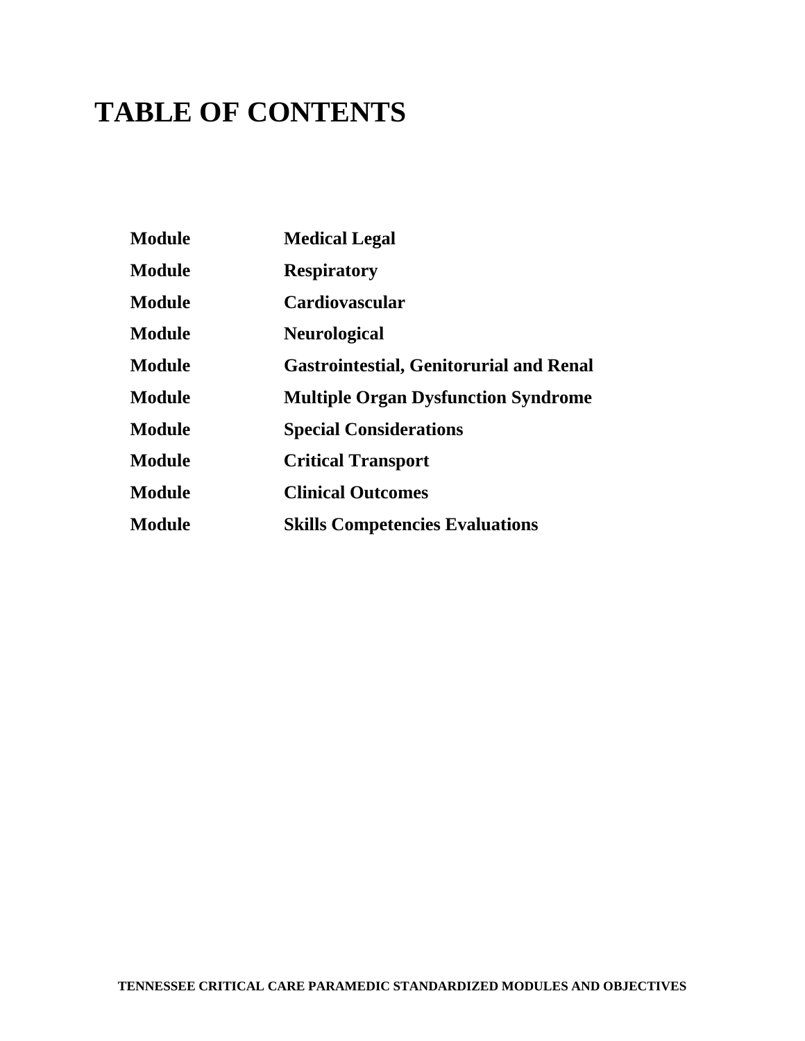# **TABLE OF CONTENTS**

| <b>Module</b> | <b>Medical Legal</b>                           |
|---------------|------------------------------------------------|
| <b>Module</b> | <b>Respiratory</b>                             |
| <b>Module</b> | <b>Cardiovascular</b>                          |
| <b>Module</b> | <b>Neurological</b>                            |
| <b>Module</b> | <b>Gastrointestial, Genitorurial and Renal</b> |
| <b>Module</b> | <b>Multiple Organ Dysfunction Syndrome</b>     |
| <b>Module</b> | <b>Special Considerations</b>                  |
| <b>Module</b> | <b>Critical Transport</b>                      |
| <b>Module</b> | <b>Clinical Outcomes</b>                       |
| <b>Module</b> | <b>Skills Competencies Evaluations</b>         |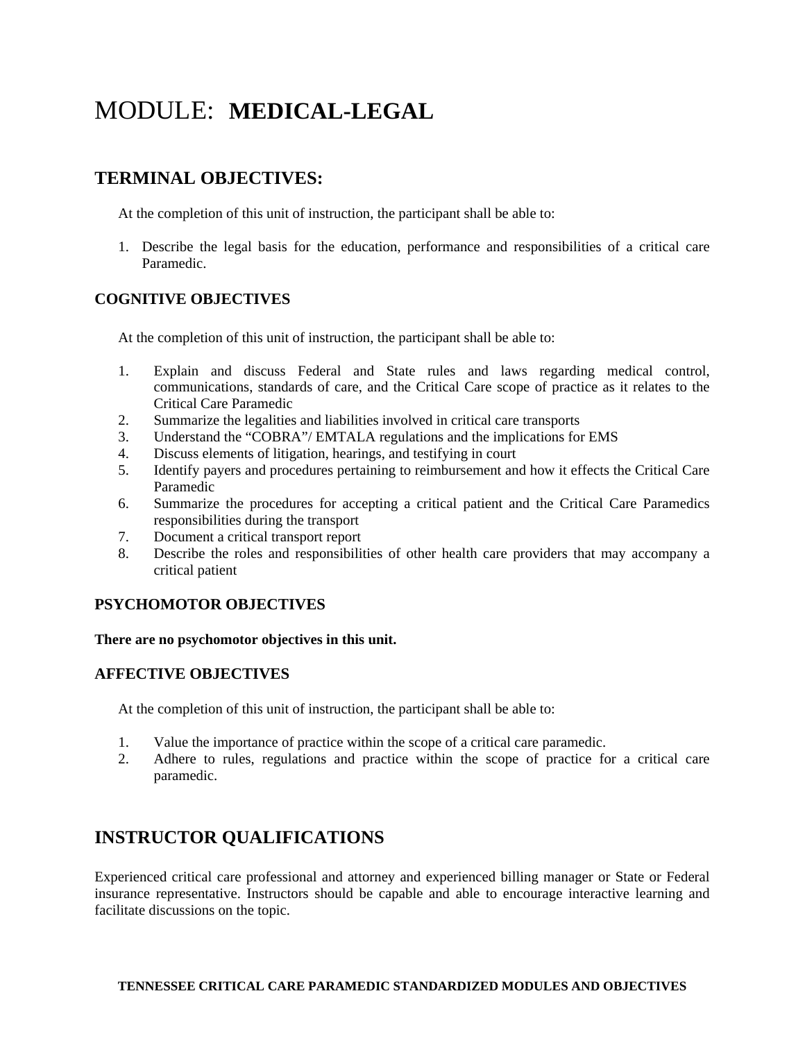## MODULE: **MEDICAL-LEGAL**

## **TERMINAL OBJECTIVES:**

At the completion of this unit of instruction, the participant shall be able to:

1. Describe the legal basis for the education, performance and responsibilities of a critical care Paramedic.

#### **COGNITIVE OBJECTIVES**

At the completion of this unit of instruction, the participant shall be able to:

- 1. Explain and discuss Federal and State rules and laws regarding medical control, communications, standards of care, and the Critical Care scope of practice as it relates to the Critical Care Paramedic
- 2. Summarize the legalities and liabilities involved in critical care transports
- 3. Understand the "COBRA"/ EMTALA regulations and the implications for EMS
- 4. Discuss elements of litigation, hearings, and testifying in court
- 5. Identify payers and procedures pertaining to reimbursement and how it effects the Critical Care Paramedic
- 6. Summarize the procedures for accepting a critical patient and the Critical Care Paramedics responsibilities during the transport
- 7. Document a critical transport report
- 8. Describe the roles and responsibilities of other health care providers that may accompany a critical patient

#### **PSYCHOMOTOR OBJECTIVES**

#### **There are no psychomotor objectives in this unit.**

#### **AFFECTIVE OBJECTIVES**

At the completion of this unit of instruction, the participant shall be able to:

- 1. Value the importance of practice within the scope of a critical care paramedic.
- 2. Adhere to rules, regulations and practice within the scope of practice for a critical care paramedic.

## **INSTRUCTOR QUALIFICATIONS**

Experienced critical care professional and attorney and experienced billing manager or State or Federal insurance representative. Instructors should be capable and able to encourage interactive learning and facilitate discussions on the topic.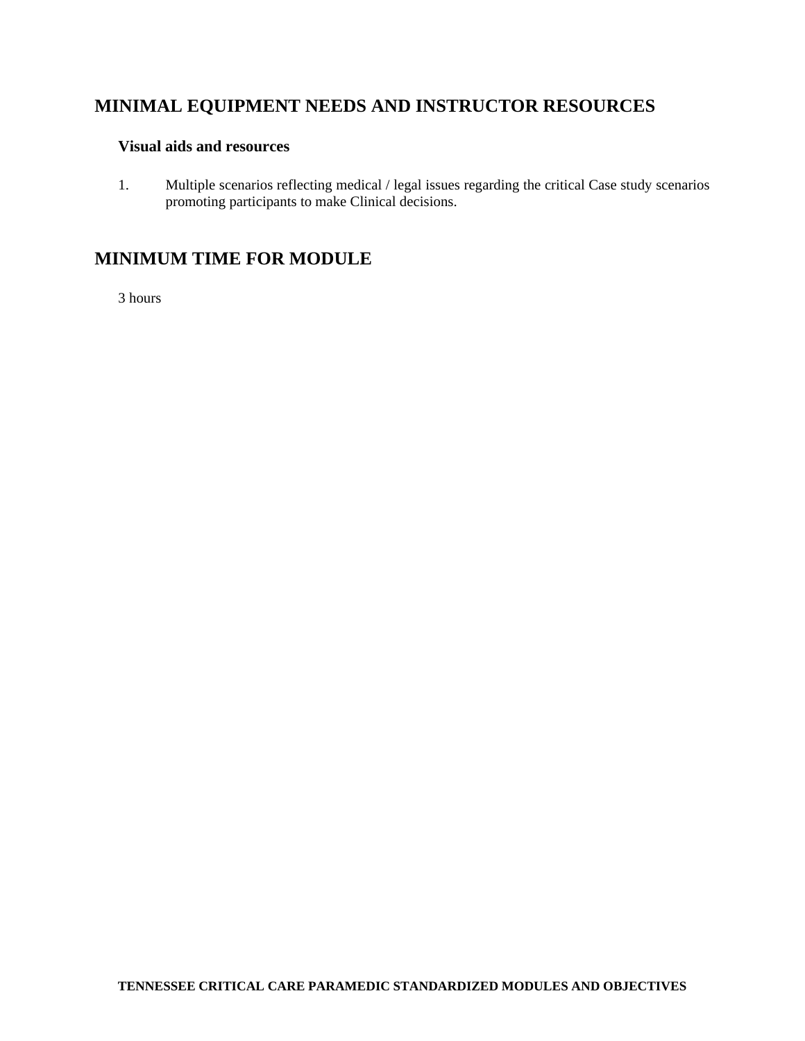#### **Visual aids and resources**

1. Multiple scenarios reflecting medical / legal issues regarding the critical Case study scenarios promoting participants to make Clinical decisions.

## **MINIMUM TIME FOR MODULE**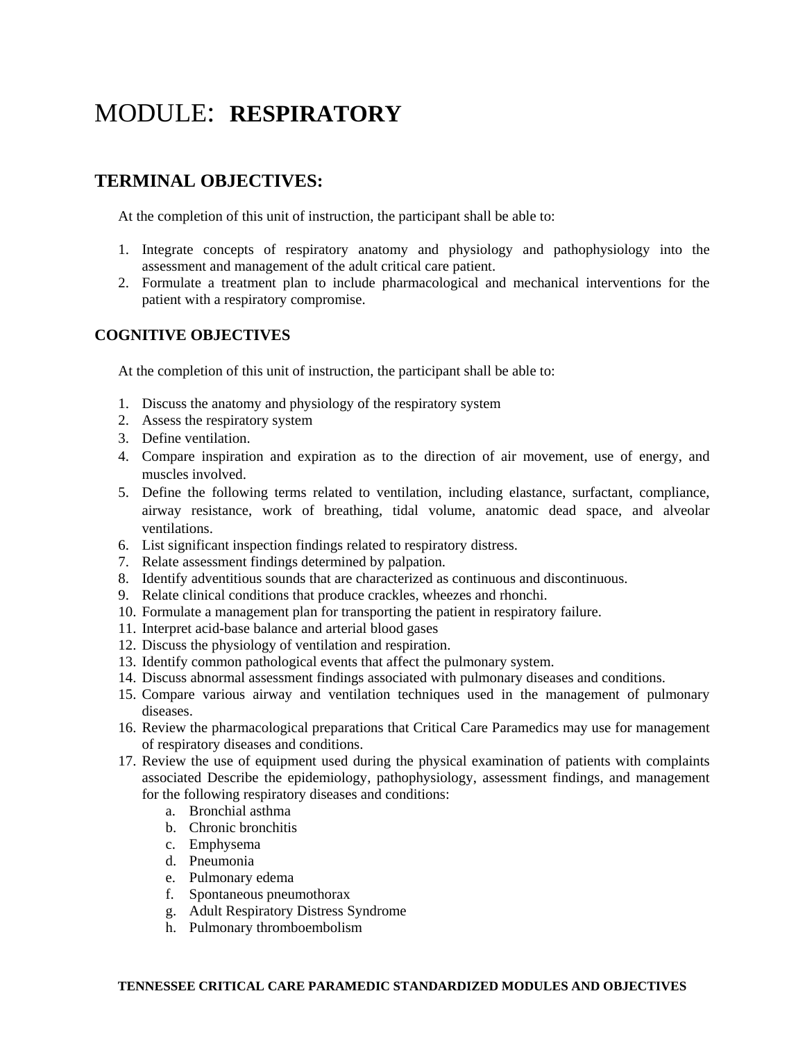## MODULE: **RESPIRATORY**

## **TERMINAL OBJECTIVES:**

At the completion of this unit of instruction, the participant shall be able to:

- 1. Integrate concepts of respiratory anatomy and physiology and pathophysiology into the assessment and management of the adult critical care patient.
- 2. Formulate a treatment plan to include pharmacological and mechanical interventions for the patient with a respiratory compromise.

#### **COGNITIVE OBJECTIVES**

At the completion of this unit of instruction, the participant shall be able to:

- 1. Discuss the anatomy and physiology of the respiratory system
- 2. Assess the respiratory system
- 3. Define ventilation.
- 4. Compare inspiration and expiration as to the direction of air movement, use of energy, and muscles involved.
- 5. Define the following terms related to ventilation, including elastance, surfactant, compliance, airway resistance, work of breathing, tidal volume, anatomic dead space, and alveolar ventilations.
- 6. List significant inspection findings related to respiratory distress.
- 7. Relate assessment findings determined by palpation.
- 8. Identify adventitious sounds that are characterized as continuous and discontinuous.
- 9. Relate clinical conditions that produce crackles, wheezes and rhonchi.
- 10. Formulate a management plan for transporting the patient in respiratory failure.
- 11. Interpret acid-base balance and arterial blood gases
- 12. Discuss the physiology of ventilation and respiration.
- 13. Identify common pathological events that affect the pulmonary system.
- 14. Discuss abnormal assessment findings associated with pulmonary diseases and conditions.
- 15. Compare various airway and ventilation techniques used in the management of pulmonary diseases.
- 16. Review the pharmacological preparations that Critical Care Paramedics may use for management of respiratory diseases and conditions.
- 17. Review the use of equipment used during the physical examination of patients with complaints associated Describe the epidemiology, pathophysiology, assessment findings, and management for the following respiratory diseases and conditions:
	- a. Bronchial asthma
	- b. Chronic bronchitis
	- c. Emphysema
	- d. Pneumonia
	- e. Pulmonary edema
	- f. Spontaneous pneumothorax
	- g. Adult Respiratory Distress Syndrome
	- h. Pulmonary thromboembolism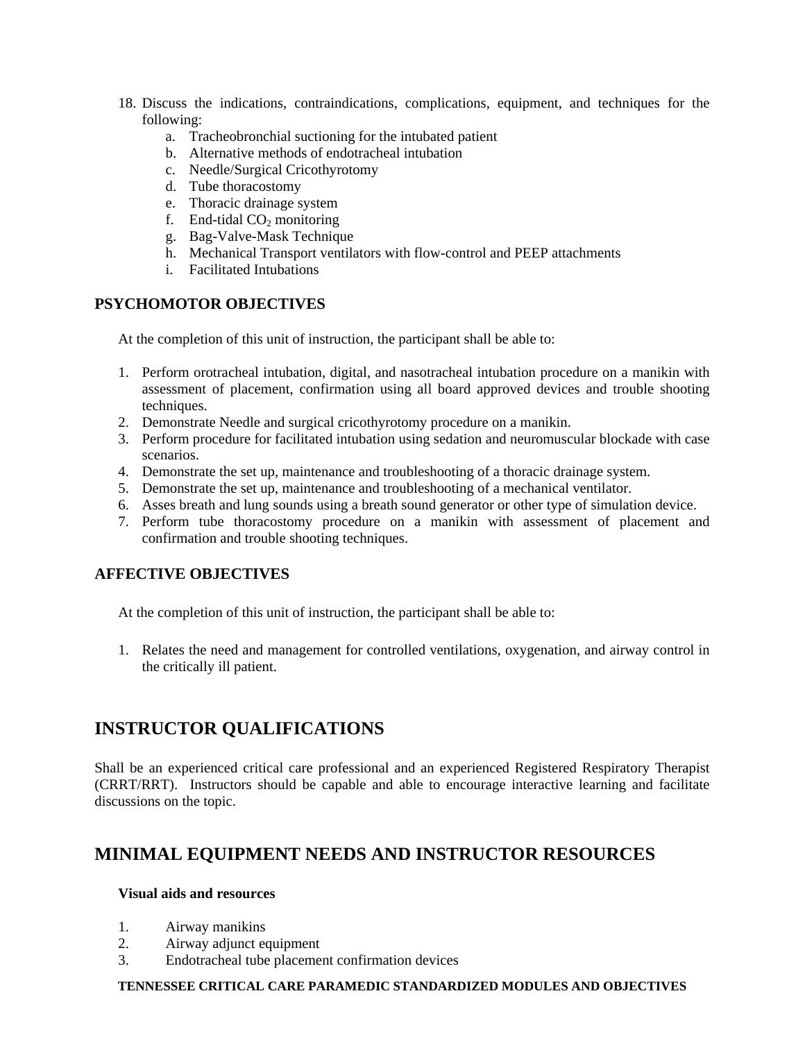- 18. Discuss the indications, contraindications, complications, equipment, and techniques for the following:
	- a. Tracheobronchial suctioning for the intubated patient
	- b. Alternative methods of endotracheal intubation
	- c. Needle/Surgical Cricothyrotomy
	- d. Tube thoracostomy
	- e. Thoracic drainage system
	- f. End-tidal  $CO<sub>2</sub>$  monitoring
	- g. Bag-Valve-Mask Technique
	- h. Mechanical Transport ventilators with flow-control and PEEP attachments
	- i. Facilitated Intubations

### **PSYCHOMOTOR OBJECTIVES**

At the completion of this unit of instruction, the participant shall be able to:

- 1. Perform orotracheal intubation, digital, and nasotracheal intubation procedure on a manikin with assessment of placement, confirmation using all board approved devices and trouble shooting techniques.
- 2. Demonstrate Needle and surgical cricothyrotomy procedure on a manikin.
- 3. Perform procedure for facilitated intubation using sedation and neuromuscular blockade with case scenarios.
- 4. Demonstrate the set up, maintenance and troubleshooting of a thoracic drainage system.
- 5. Demonstrate the set up, maintenance and troubleshooting of a mechanical ventilator.
- 6. Asses breath and lung sounds using a breath sound generator or other type of simulation device.
- 7. Perform tube thoracostomy procedure on a manikin with assessment of placement and confirmation and trouble shooting techniques.

### **AFFECTIVE OBJECTIVES**

At the completion of this unit of instruction, the participant shall be able to:

1. Relates the need and management for controlled ventilations, oxygenation, and airway control in the critically ill patient.

## **INSTRUCTOR QUALIFICATIONS**

Shall be an experienced critical care professional and an experienced Registered Respiratory Therapist (CRRT/RRT). Instructors should be capable and able to encourage interactive learning and facilitate discussions on the topic.

## **MINIMAL EQUIPMENT NEEDS AND INSTRUCTOR RESOURCES**

#### **Visual aids and resources**

- 1. Airway manikins
- 2. Airway adjunct equipment
- 3. Endotracheal tube placement confirmation devices

#### **TENNESSEE CRITICAL CARE PARAMEDIC STANDARDIZED MODULES AND OBJECTIVES**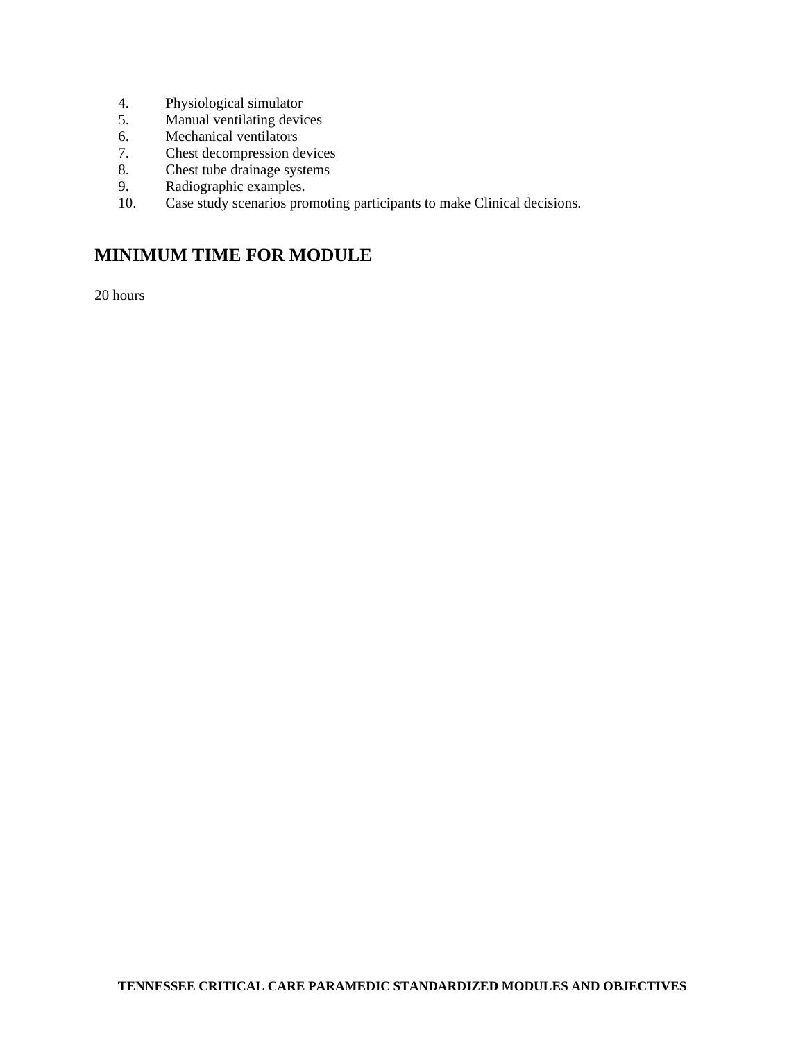- 4. Physiological simulator
- 5. Manual ventilating devices
- 6. Mechanical ventilators<br>7. Chest decompression de
- 7. Chest decompression devices
- 8. Chest tube drainage systems
- 9. Radiographic examples.
- 10. Case study scenarios promoting participants to make Clinical decisions.

## **MINIMUM TIME FOR MODULE**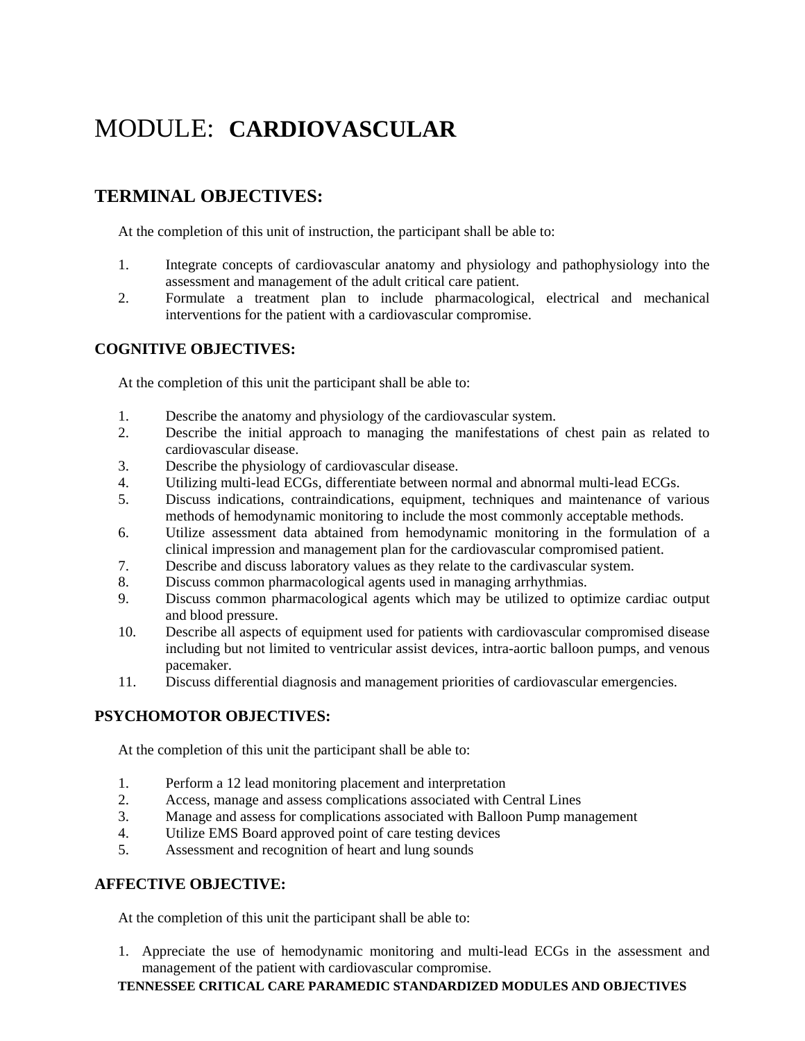## MODULE: **CARDIOVASCULAR**

## **TERMINAL OBJECTIVES:**

At the completion of this unit of instruction, the participant shall be able to:

- 1. Integrate concepts of cardiovascular anatomy and physiology and pathophysiology into the assessment and management of the adult critical care patient.
- 2. Formulate a treatment plan to include pharmacological, electrical and mechanical interventions for the patient with a cardiovascular compromise.

#### **COGNITIVE OBJECTIVES:**

At the completion of this unit the participant shall be able to:

- 1. Describe the anatomy and physiology of the cardiovascular system.
- 2. Describe the initial approach to managing the manifestations of chest pain as related to cardiovascular disease.
- 3. Describe the physiology of cardiovascular disease.
- 4. Utilizing multi-lead ECGs, differentiate between normal and abnormal multi-lead ECGs.<br>5. Discuss indications, contraindications, equipment, techniques and maintenance of varia-
- 5. Discuss indications, contraindications, equipment, techniques and maintenance of various methods of hemodynamic monitoring to include the most commonly acceptable methods.
- 6. Utilize assessment data abtained from hemodynamic monitoring in the formulation of a clinical impression and management plan for the cardiovascular compromised patient.
- 7. Describe and discuss laboratory values as they relate to the cardivascular system.
- 8. Discuss common pharmacological agents used in managing arrhythmias.
- 9. Discuss common pharmacological agents which may be utilized to optimize cardiac output and blood pressure.
- 10. Describe all aspects of equipment used for patients with cardiovascular compromised disease including but not limited to ventricular assist devices, intra-aortic balloon pumps, and venous pacemaker.
- 11. Discuss differential diagnosis and management priorities of cardiovascular emergencies.

### **PSYCHOMOTOR OBJECTIVES:**

At the completion of this unit the participant shall be able to:

- 1. Perform a 12 lead monitoring placement and interpretation
- 2. Access, manage and assess complications associated with Central Lines
- 3. Manage and assess for complications associated with Balloon Pump management
- 4. Utilize EMS Board approved point of care testing devices
- 5. Assessment and recognition of heart and lung sounds

#### **AFFECTIVE OBJECTIVE:**

At the completion of this unit the participant shall be able to:

1. Appreciate the use of hemodynamic monitoring and multi-lead ECGs in the assessment and management of the patient with cardiovascular compromise.

#### **TENNESSEE CRITICAL CARE PARAMEDIC STANDARDIZED MODULES AND OBJECTIVES**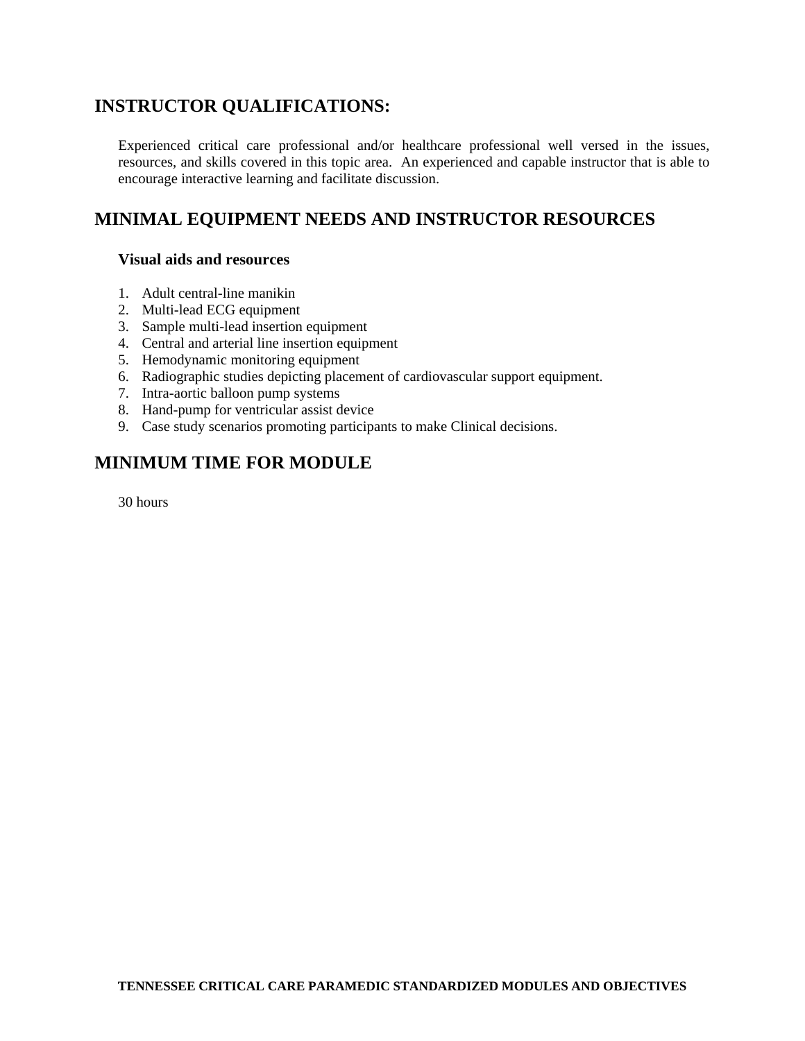## **INSTRUCTOR QUALIFICATIONS:**

Experienced critical care professional and/or healthcare professional well versed in the issues, resources, and skills covered in this topic area. An experienced and capable instructor that is able to encourage interactive learning and facilitate discussion.

## **MINIMAL EQUIPMENT NEEDS AND INSTRUCTOR RESOURCES**

#### **Visual aids and resources**

- 1. Adult central-line manikin
- 2. Multi-lead ECG equipment
- 3. Sample multi-lead insertion equipment
- 4. Central and arterial line insertion equipment
- 5. Hemodynamic monitoring equipment
- 6. Radiographic studies depicting placement of cardiovascular support equipment.
- 7. Intra-aortic balloon pump systems
- 8. Hand-pump for ventricular assist device
- 9. Case study scenarios promoting participants to make Clinical decisions.

## **MINIMUM TIME FOR MODULE**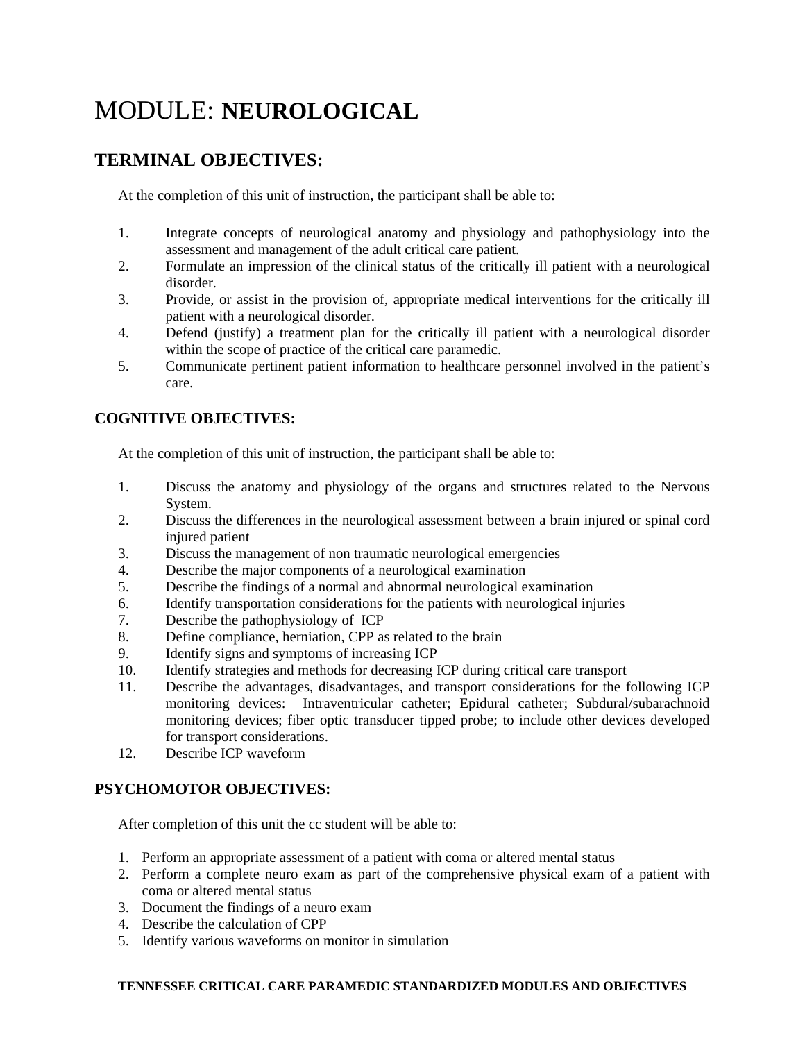## MODULE: **NEUROLOGICAL**

## **TERMINAL OBJECTIVES:**

At the completion of this unit of instruction, the participant shall be able to:

- 1. Integrate concepts of neurological anatomy and physiology and pathophysiology into the assessment and management of the adult critical care patient.
- 2. Formulate an impression of the clinical status of the critically ill patient with a neurological disorder.
- 3. Provide, or assist in the provision of, appropriate medical interventions for the critically ill patient with a neurological disorder.
- 4. Defend (justify) a treatment plan for the critically ill patient with a neurological disorder within the scope of practice of the critical care paramedic.
- 5. Communicate pertinent patient information to healthcare personnel involved in the patient's care.

### **COGNITIVE OBJECTIVES:**

At the completion of this unit of instruction, the participant shall be able to:

- 1. Discuss the anatomy and physiology of the organs and structures related to the Nervous System.
- 2. Discuss the differences in the neurological assessment between a brain injured or spinal cord injured patient
- 3. Discuss the management of non traumatic neurological emergencies
- 4. Describe the major components of a neurological examination
- 5. Describe the findings of a normal and abnormal neurological examination
- 6. Identify transportation considerations for the patients with neurological injuries
- 7. Describe the pathophysiology of ICP
- 8. Define compliance, herniation, CPP as related to the brain
- 9. Identify signs and symptoms of increasing ICP
- 10. Identify strategies and methods for decreasing ICP during critical care transport
- 11. Describe the advantages, disadvantages, and transport considerations for the following ICP monitoring devices: Intraventricular catheter; Epidural catheter; Subdural/subarachnoid monitoring devices; fiber optic transducer tipped probe; to include other devices developed for transport considerations.
- 12. Describe ICP waveform

### **PSYCHOMOTOR OBJECTIVES:**

After completion of this unit the cc student will be able to:

- 1. Perform an appropriate assessment of a patient with coma or altered mental status
- 2. Perform a complete neuro exam as part of the comprehensive physical exam of a patient with coma or altered mental status
- 3. Document the findings of a neuro exam
- 4. Describe the calculation of CPP
- 5. Identify various waveforms on monitor in simulation

#### **TENNESSEE CRITICAL CARE PARAMEDIC STANDARDIZED MODULES AND OBJECTIVES**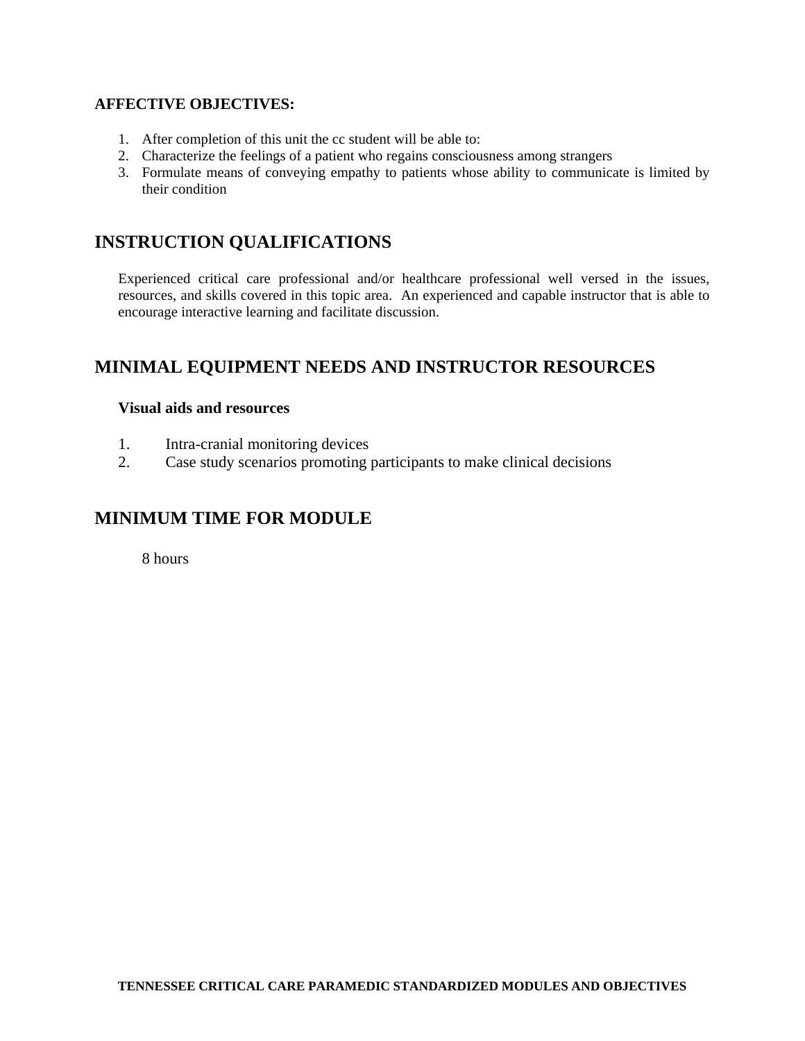#### **AFFECTIVE OBJECTIVES:**

- 1. After completion of this unit the cc student will be able to:
- 2. Characterize the feelings of a patient who regains consciousness among strangers
- 3. Formulate means of conveying empathy to patients whose ability to communicate is limited by their condition

## **INSTRUCTION QUALIFICATIONS**

Experienced critical care professional and/or healthcare professional well versed in the issues, resources, and skills covered in this topic area. An experienced and capable instructor that is able to encourage interactive learning and facilitate discussion.

## **MINIMAL EQUIPMENT NEEDS AND INSTRUCTOR RESOURCES**

#### **Visual aids and resources**

- 1. Intra-cranial monitoring devices
- 2. Case study scenarios promoting participants to make clinical decisions

## **MINIMUM TIME FOR MODULE**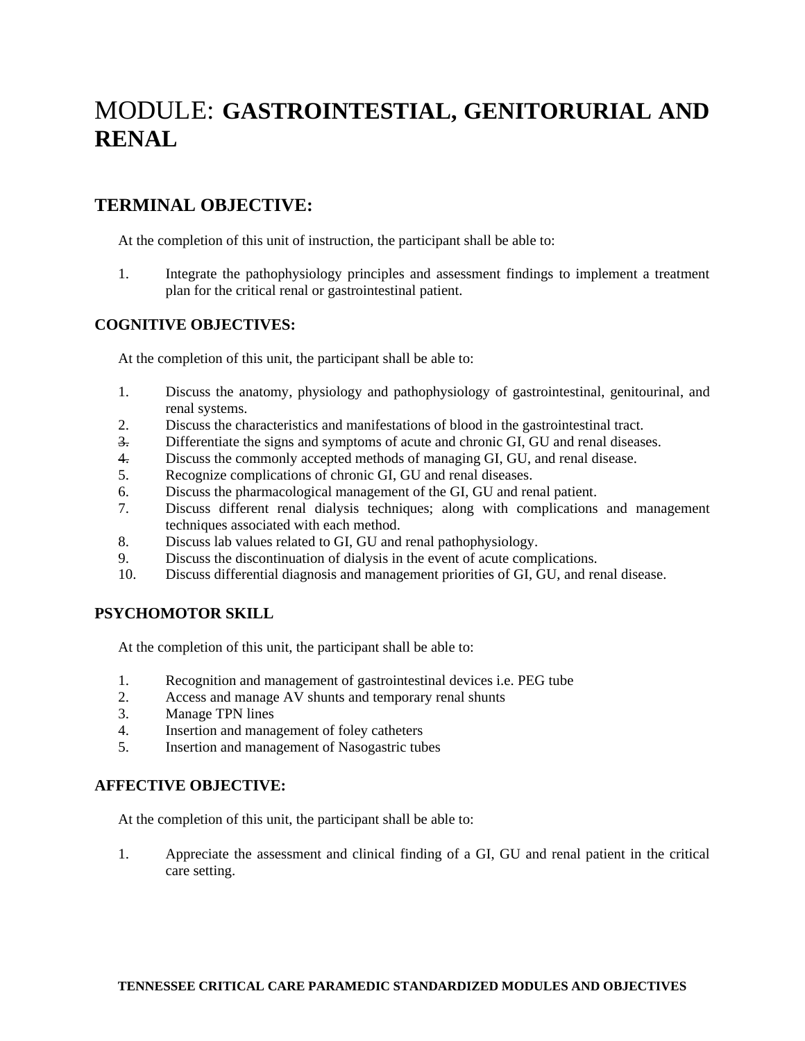## MODULE: **GASTROINTESTIAL, GENITORURIAL AND RENAL**

## **TERMINAL OBJECTIVE:**

At the completion of this unit of instruction, the participant shall be able to:

1. Integrate the pathophysiology principles and assessment findings to implement a treatment plan for the critical renal or gastrointestinal patient.

#### **COGNITIVE OBJECTIVES:**

At the completion of this unit, the participant shall be able to:

- 1. Discuss the anatomy, physiology and pathophysiology of gastrointestinal, genitourinal, and renal systems.
- 2. Discuss the characteristics and manifestations of blood in the gastrointestinal tract.
- 3. Differentiate the signs and symptoms of acute and chronic GI, GU and renal diseases.
- 4. Discuss the commonly accepted methods of managing GI, GU, and renal disease.
- 5. Recognize complications of chronic GI, GU and renal diseases.
- 6. Discuss the pharmacological management of the GI, GU and renal patient.
- 7. Discuss different renal dialysis techniques; along with complications and management techniques associated with each method.
- 8. Discuss lab values related to GI, GU and renal pathophysiology.
- 9. Discuss the discontinuation of dialysis in the event of acute complications.
- 10. Discuss differential diagnosis and management priorities of GI, GU, and renal disease.

#### **PSYCHOMOTOR SKILL**

At the completion of this unit, the participant shall be able to:

- 1. Recognition and management of gastrointestinal devices i.e. PEG tube
- 2. Access and manage AV shunts and temporary renal shunts
- 3. Manage TPN lines
- 4. Insertion and management of foley catheters
- 5. Insertion and management of Nasogastric tubes

#### **AFFECTIVE OBJECTIVE:**

At the completion of this unit, the participant shall be able to:

1. Appreciate the assessment and clinical finding of a GI, GU and renal patient in the critical care setting.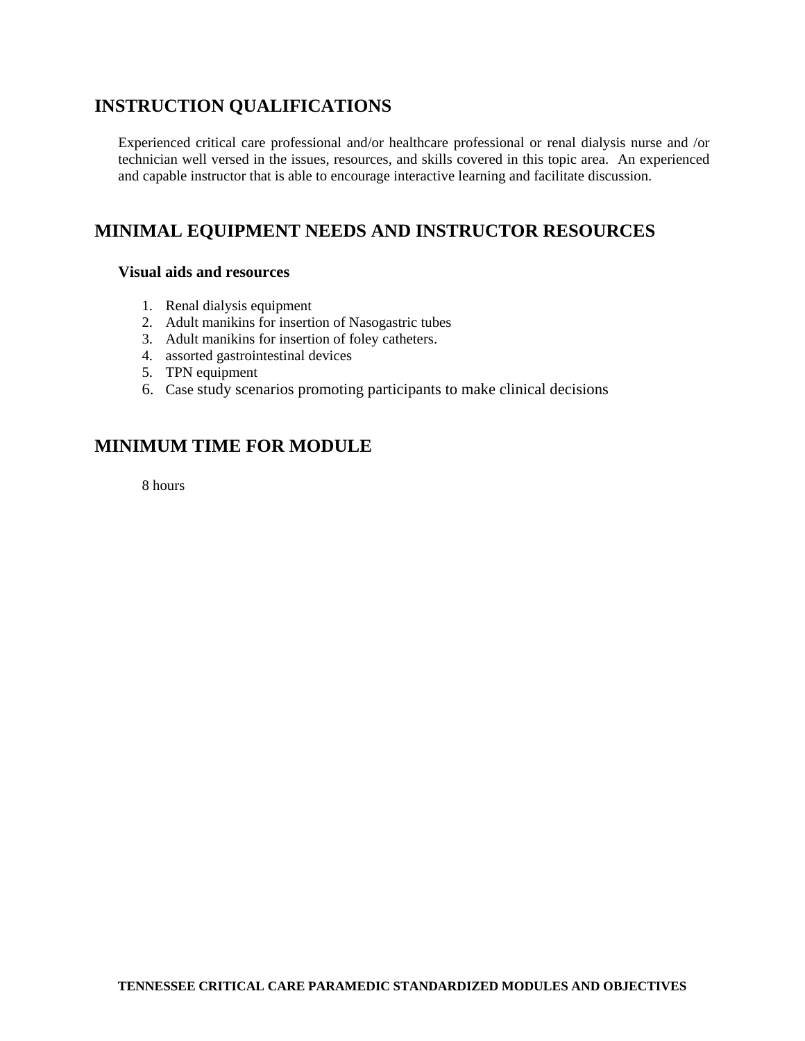## **INSTRUCTION QUALIFICATIONS**

Experienced critical care professional and/or healthcare professional or renal dialysis nurse and /or technician well versed in the issues, resources, and skills covered in this topic area. An experienced and capable instructor that is able to encourage interactive learning and facilitate discussion.

## **MINIMAL EQUIPMENT NEEDS AND INSTRUCTOR RESOURCES**

#### **Visual aids and resources**

- 1. Renal dialysis equipment
- 2. Adult manikins for insertion of Nasogastric tubes
- 3. Adult manikins for insertion of foley catheters.
- 4. assorted gastrointestinal devices
- 5. TPN equipment
- 6. Case study scenarios promoting participants to make clinical decisions

## **MINIMUM TIME FOR MODULE**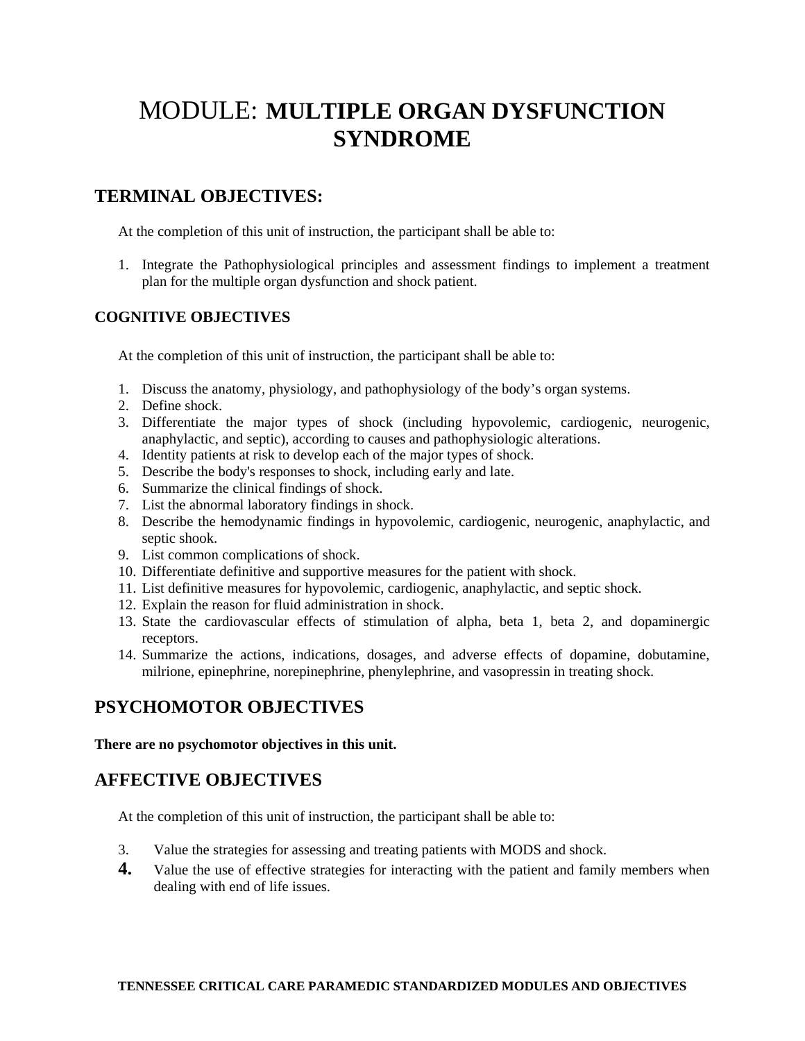## MODULE: **MULTIPLE ORGAN DYSFUNCTION SYNDROME**

## **TERMINAL OBJECTIVES:**

At the completion of this unit of instruction, the participant shall be able to:

1. Integrate the Pathophysiological principles and assessment findings to implement a treatment plan for the multiple organ dysfunction and shock patient.

#### **COGNITIVE OBJECTIVES**

At the completion of this unit of instruction, the participant shall be able to:

- 1. Discuss the anatomy, physiology, and pathophysiology of the body's organ systems.
- 2. Define shock.
- 3. Differentiate the major types of shock (including hypovolemic, cardiogenic, neurogenic, anaphylactic, and septic), according to causes and pathophysiologic alterations.
- 4. Identity patients at risk to develop each of the major types of shock.
- 5. Describe the body's responses to shock, including early and late.
- 6. Summarize the clinical findings of shock.
- 7. List the abnormal laboratory findings in shock.
- 8. Describe the hemodynamic findings in hypovolemic, cardiogenic, neurogenic, anaphylactic, and septic shook.
- 9. List common complications of shock.
- 10. Differentiate definitive and supportive measures for the patient with shock.
- 11. List definitive measures for hypovolemic, cardiogenic, anaphylactic, and septic shock.
- 12. Explain the reason for fluid administration in shock.
- 13. State the cardiovascular effects of stimulation of alpha, beta 1, beta 2, and dopaminergic receptors.
- 14. Summarize the actions, indications, dosages, and adverse effects of dopamine, dobutamine, milrione, epinephrine, norepinephrine, phenylephrine, and vasopressin in treating shock.

## **PSYCHOMOTOR OBJECTIVES**

**There are no psychomotor objectives in this unit.** 

## **AFFECTIVE OBJECTIVES**

At the completion of this unit of instruction, the participant shall be able to:

- 3. Value the strategies for assessing and treating patients with MODS and shock.
- **4.** Value the use of effective strategies for interacting with the patient and family members when dealing with end of life issues.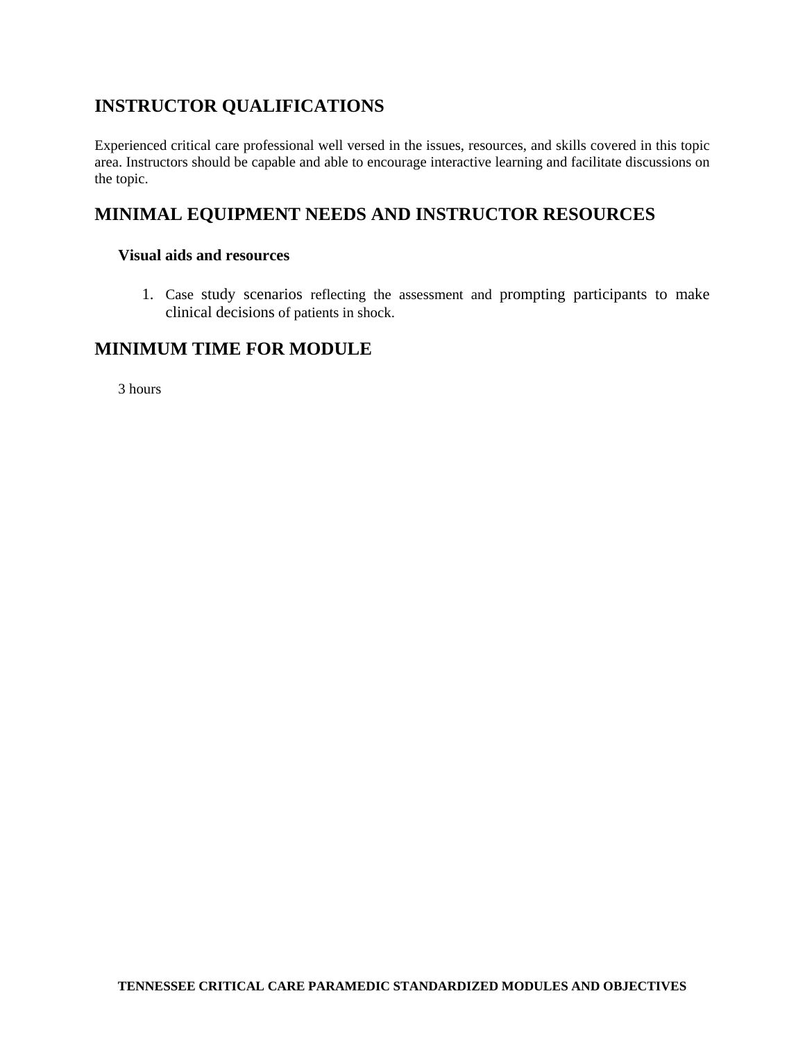## **INSTRUCTOR QUALIFICATIONS**

Experienced critical care professional well versed in the issues, resources, and skills covered in this topic area. Instructors should be capable and able to encourage interactive learning and facilitate discussions on the topic.

## **MINIMAL EQUIPMENT NEEDS AND INSTRUCTOR RESOURCES**

#### **Visual aids and resources**

1. Case study scenarios reflecting the assessment and prompting participants to make clinical decisions of patients in shock.

### **MINIMUM TIME FOR MODULE**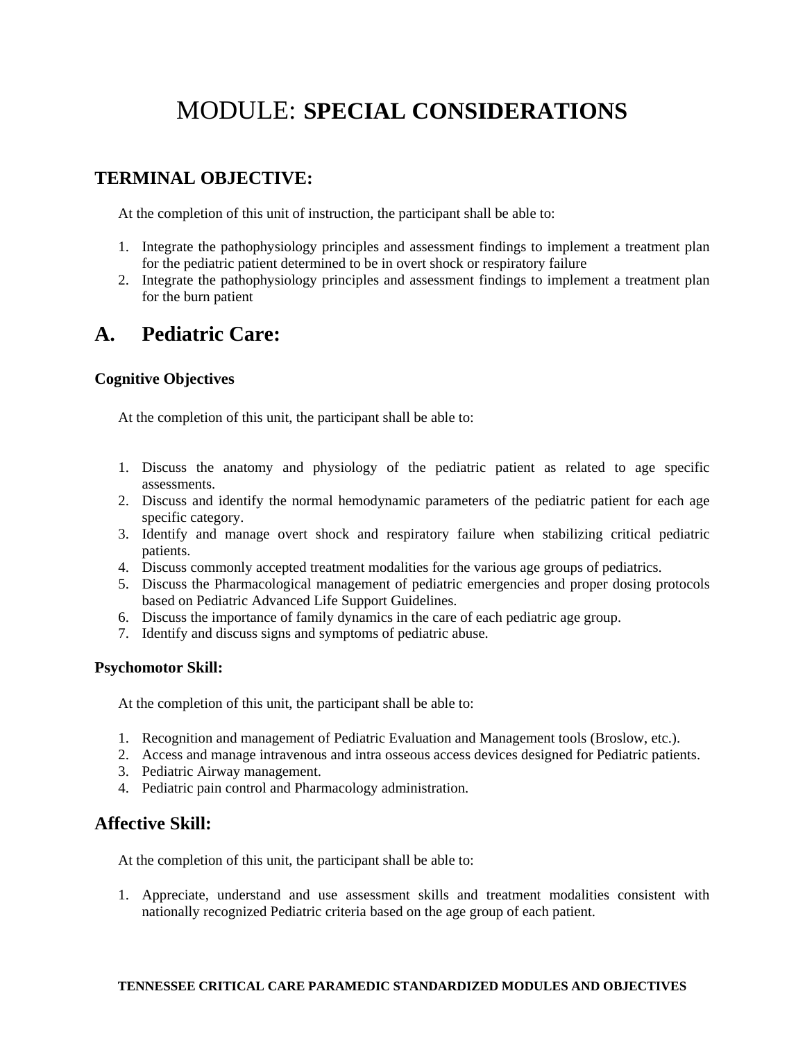## MODULE: **SPECIAL CONSIDERATIONS**

## **TERMINAL OBJECTIVE:**

At the completion of this unit of instruction, the participant shall be able to:

- 1. Integrate the pathophysiology principles and assessment findings to implement a treatment plan for the pediatric patient determined to be in overt shock or respiratory failure
- 2. Integrate the pathophysiology principles and assessment findings to implement a treatment plan for the burn patient

## **A. Pediatric Care:**

### **Cognitive Objectives**

At the completion of this unit, the participant shall be able to:

- 1. Discuss the anatomy and physiology of the pediatric patient as related to age specific assessments.
- 2. Discuss and identify the normal hemodynamic parameters of the pediatric patient for each age specific category.
- 3. Identify and manage overt shock and respiratory failure when stabilizing critical pediatric patients.
- 4. Discuss commonly accepted treatment modalities for the various age groups of pediatrics.
- 5. Discuss the Pharmacological management of pediatric emergencies and proper dosing protocols based on Pediatric Advanced Life Support Guidelines.
- 6. Discuss the importance of family dynamics in the care of each pediatric age group.
- 7. Identify and discuss signs and symptoms of pediatric abuse.

#### **Psychomotor Skill:**

At the completion of this unit, the participant shall be able to:

- 1. Recognition and management of Pediatric Evaluation and Management tools (Broslow, etc.).
- 2. Access and manage intravenous and intra osseous access devices designed for Pediatric patients.
- 3. Pediatric Airway management.
- 4. Pediatric pain control and Pharmacology administration.

## **Affective Skill:**

At the completion of this unit, the participant shall be able to:

1. Appreciate, understand and use assessment skills and treatment modalities consistent with nationally recognized Pediatric criteria based on the age group of each patient.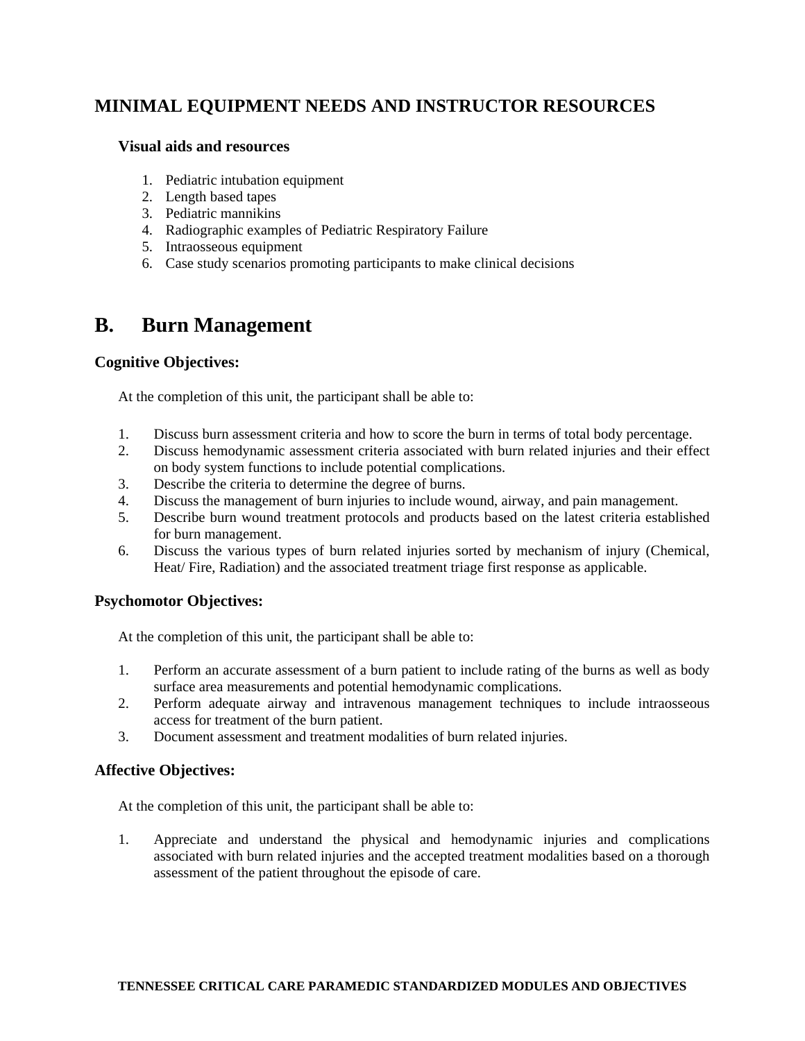#### **Visual aids and resources**

- 1. Pediatric intubation equipment
- 2. Length based tapes
- 3. Pediatric mannikins
- 4. Radiographic examples of Pediatric Respiratory Failure
- 5. Intraosseous equipment
- 6. Case study scenarios promoting participants to make clinical decisions

## **B. Burn Management**

#### **Cognitive Objectives:**

At the completion of this unit, the participant shall be able to:

- 1. Discuss burn assessment criteria and how to score the burn in terms of total body percentage.
- 2. Discuss hemodynamic assessment criteria associated with burn related injuries and their effect on body system functions to include potential complications.
- 3. Describe the criteria to determine the degree of burns.
- 4. Discuss the management of burn injuries to include wound, airway, and pain management.
- 5. Describe burn wound treatment protocols and products based on the latest criteria established for burn management.
- 6. Discuss the various types of burn related injuries sorted by mechanism of injury (Chemical, Heat/ Fire, Radiation) and the associated treatment triage first response as applicable.

#### **Psychomotor Objectives:**

At the completion of this unit, the participant shall be able to:

- 1. Perform an accurate assessment of a burn patient to include rating of the burns as well as body surface area measurements and potential hemodynamic complications.
- 2. Perform adequate airway and intravenous management techniques to include intraosseous access for treatment of the burn patient.
- 3. Document assessment and treatment modalities of burn related injuries.

#### **Affective Objectives:**

At the completion of this unit, the participant shall be able to:

1. Appreciate and understand the physical and hemodynamic injuries and complications associated with burn related injuries and the accepted treatment modalities based on a thorough assessment of the patient throughout the episode of care.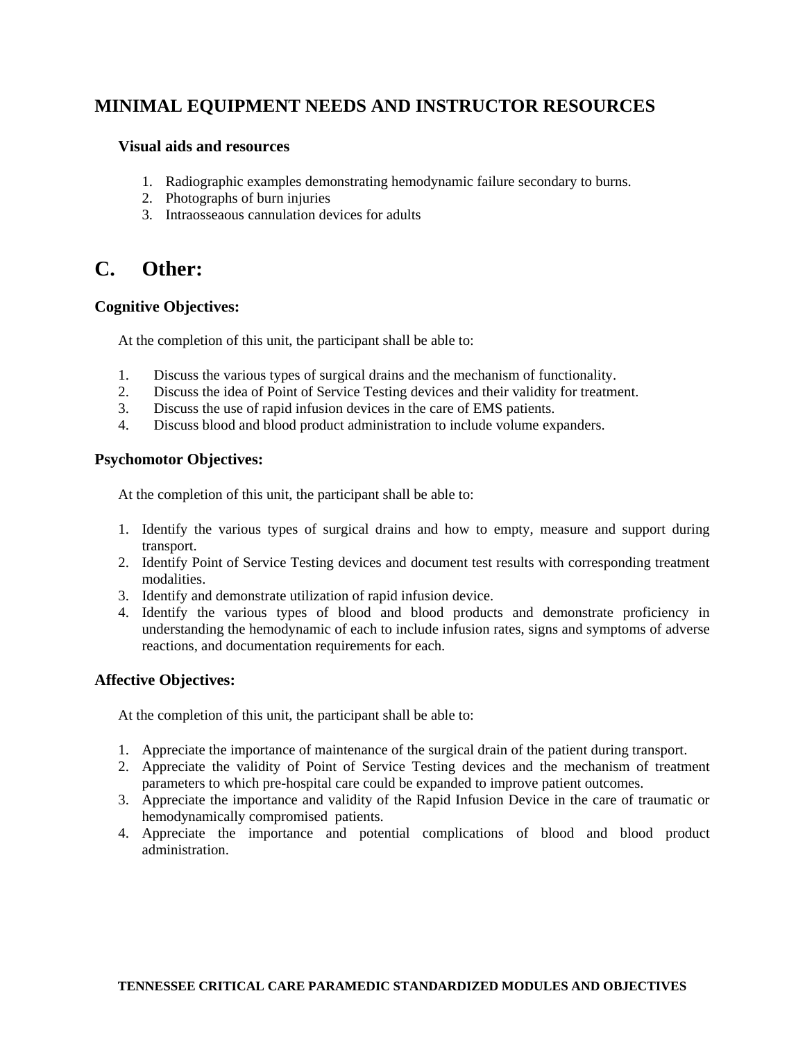#### **Visual aids and resources**

- 1. Radiographic examples demonstrating hemodynamic failure secondary to burns.
- 2. Photographs of burn injuries
- 3. Intraosseaous cannulation devices for adults

## **C. Other:**

#### **Cognitive Objectives:**

At the completion of this unit, the participant shall be able to:

- 1. Discuss the various types of surgical drains and the mechanism of functionality.
- 2. Discuss the idea of Point of Service Testing devices and their validity for treatment.
- 3. Discuss the use of rapid infusion devices in the care of EMS patients.
- 4. Discuss blood and blood product administration to include volume expanders.

#### **Psychomotor Objectives:**

At the completion of this unit, the participant shall be able to:

- 1. Identify the various types of surgical drains and how to empty, measure and support during transport.
- 2. Identify Point of Service Testing devices and document test results with corresponding treatment modalities.
- 3. Identify and demonstrate utilization of rapid infusion device.
- 4. Identify the various types of blood and blood products and demonstrate proficiency in understanding the hemodynamic of each to include infusion rates, signs and symptoms of adverse reactions, and documentation requirements for each.

#### **Affective Objectives:**

At the completion of this unit, the participant shall be able to:

- 1. Appreciate the importance of maintenance of the surgical drain of the patient during transport.
- 2. Appreciate the validity of Point of Service Testing devices and the mechanism of treatment parameters to which pre-hospital care could be expanded to improve patient outcomes.
- 3. Appreciate the importance and validity of the Rapid Infusion Device in the care of traumatic or hemodynamically compromised patients.
- 4. Appreciate the importance and potential complications of blood and blood product administration.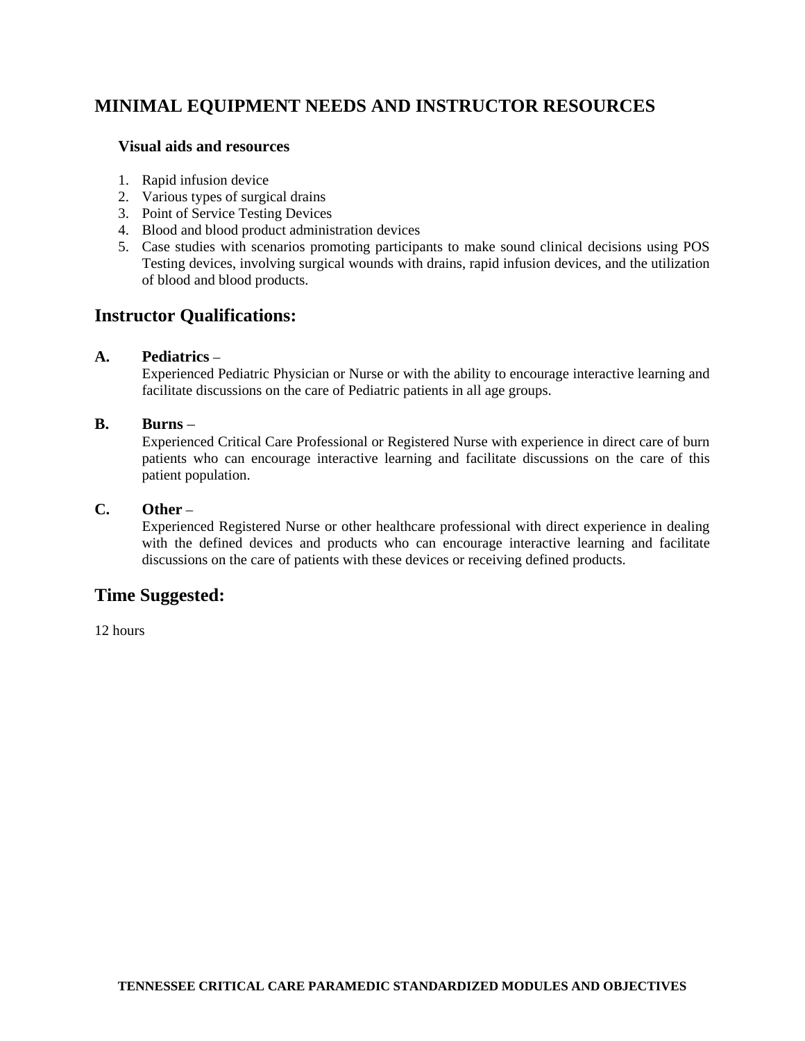#### **Visual aids and resources**

- 1. Rapid infusion device
- 2. Various types of surgical drains
- 3. Point of Service Testing Devices
- 4. Blood and blood product administration devices
- 5. Case studies with scenarios promoting participants to make sound clinical decisions using POS Testing devices, involving surgical wounds with drains, rapid infusion devices, and the utilization of blood and blood products.

### **Instructor Qualifications:**

#### **A. Pediatrics** –

Experienced Pediatric Physician or Nurse or with the ability to encourage interactive learning and facilitate discussions on the care of Pediatric patients in all age groups.

#### **B. Burns** –

Experienced Critical Care Professional or Registered Nurse with experience in direct care of burn patients who can encourage interactive learning and facilitate discussions on the care of this patient population.

#### **C. Other** –

Experienced Registered Nurse or other healthcare professional with direct experience in dealing with the defined devices and products who can encourage interactive learning and facilitate discussions on the care of patients with these devices or receiving defined products.

## **Time Suggested:**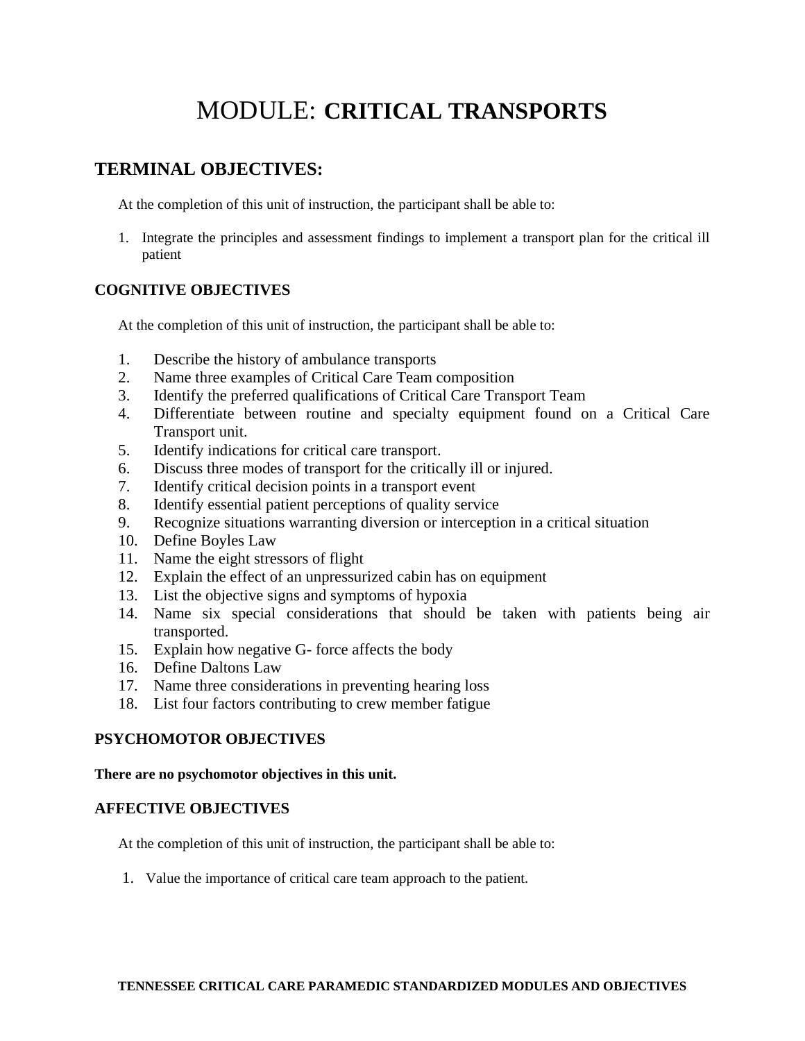## MODULE: **CRITICAL TRANSPORTS**

## **TERMINAL OBJECTIVES:**

At the completion of this unit of instruction, the participant shall be able to:

1. Integrate the principles and assessment findings to implement a transport plan for the critical ill patient

### **COGNITIVE OBJECTIVES**

At the completion of this unit of instruction, the participant shall be able to:

- 1. Describe the history of ambulance transports
- 2. Name three examples of Critical Care Team composition
- 3. Identify the preferred qualifications of Critical Care Transport Team
- 4. Differentiate between routine and specialty equipment found on a Critical Care Transport unit.
- 5. Identify indications for critical care transport.
- 6. Discuss three modes of transport for the critically ill or injured.
- 7. Identify critical decision points in a transport event
- 8. Identify essential patient perceptions of quality service
- 9. Recognize situations warranting diversion or interception in a critical situation
- 10. Define Boyles Law
- 11. Name the eight stressors of flight
- 12. Explain the effect of an unpressurized cabin has on equipment
- 13. List the objective signs and symptoms of hypoxia
- 14. Name six special considerations that should be taken with patients being air transported.
- 15. Explain how negative G- force affects the body
- 16. Define Daltons Law
- 17. Name three considerations in preventing hearing loss
- 18. List four factors contributing to crew member fatigue

#### **PSYCHOMOTOR OBJECTIVES**

#### **There are no psychomotor objectives in this unit.**

#### **AFFECTIVE OBJECTIVES**

At the completion of this unit of instruction, the participant shall be able to:

1. Value the importance of critical care team approach to the patient.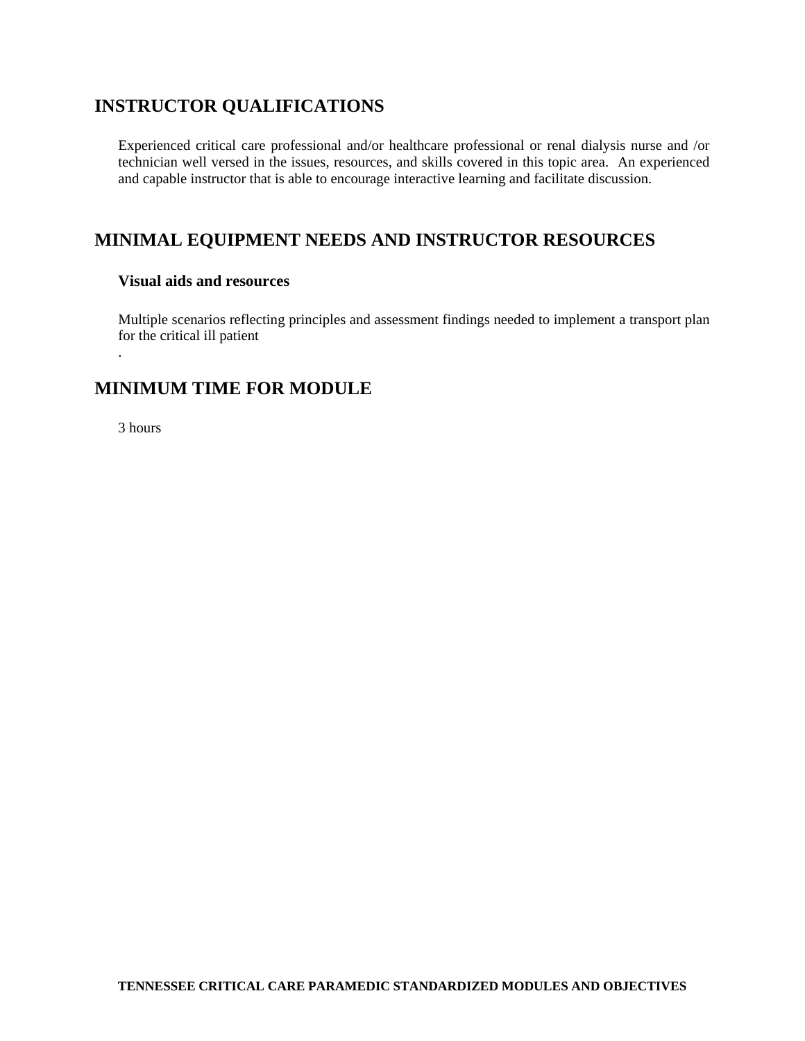## **INSTRUCTOR QUALIFICATIONS**

Experienced critical care professional and/or healthcare professional or renal dialysis nurse and /or technician well versed in the issues, resources, and skills covered in this topic area. An experienced and capable instructor that is able to encourage interactive learning and facilitate discussion.

## **MINIMAL EQUIPMENT NEEDS AND INSTRUCTOR RESOURCES**

#### **Visual aids and resources**

Multiple scenarios reflecting principles and assessment findings needed to implement a transport plan for the critical ill patient

## **MINIMUM TIME FOR MODULE**

3 hours

.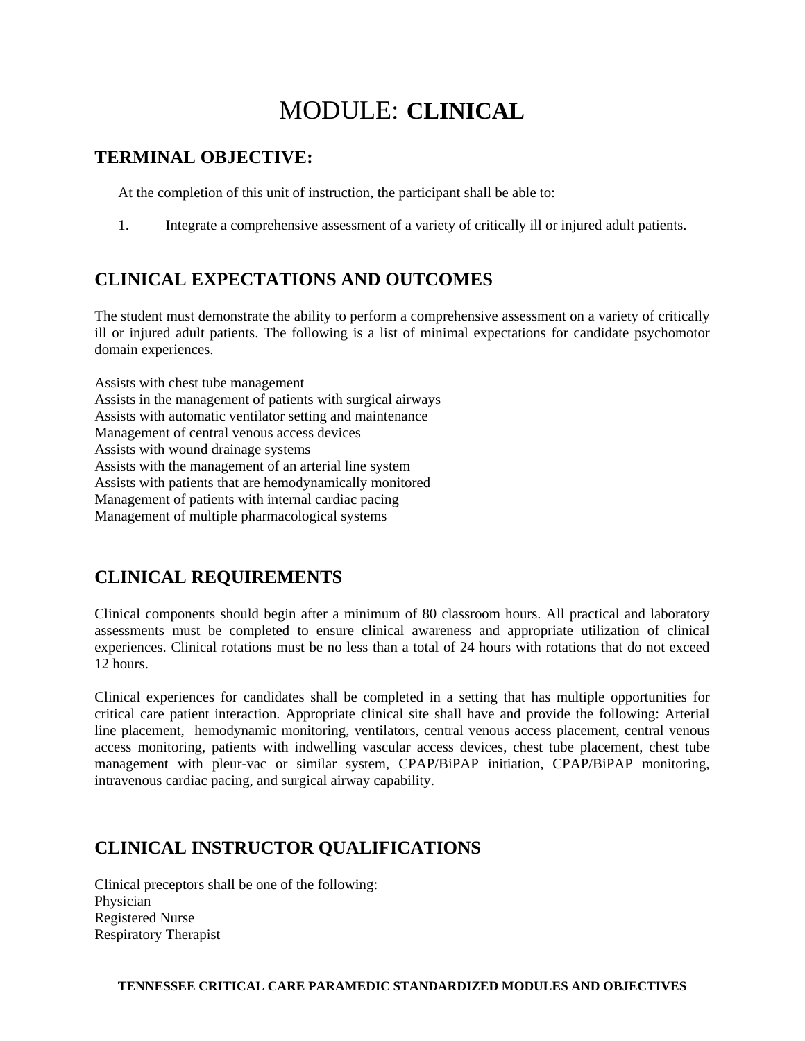## MODULE: **CLINICAL**

## **TERMINAL OBJECTIVE:**

At the completion of this unit of instruction, the participant shall be able to:

1. Integrate a comprehensive assessment of a variety of critically ill or injured adult patients.

## **CLINICAL EXPECTATIONS AND OUTCOMES**

The student must demonstrate the ability to perform a comprehensive assessment on a variety of critically ill or injured adult patients. The following is a list of minimal expectations for candidate psychomotor domain experiences.

Assists with chest tube management Assists in the management of patients with surgical airways Assists with automatic ventilator setting and maintenance Management of central venous access devices Assists with wound drainage systems Assists with the management of an arterial line system Assists with patients that are hemodynamically monitored Management of patients with internal cardiac pacing Management of multiple pharmacological systems

## **CLINICAL REQUIREMENTS**

Clinical components should begin after a minimum of 80 classroom hours. All practical and laboratory assessments must be completed to ensure clinical awareness and appropriate utilization of clinical experiences. Clinical rotations must be no less than a total of 24 hours with rotations that do not exceed 12 hours.

Clinical experiences for candidates shall be completed in a setting that has multiple opportunities for critical care patient interaction. Appropriate clinical site shall have and provide the following: Arterial line placement, hemodynamic monitoring, ventilators, central venous access placement, central venous access monitoring, patients with indwelling vascular access devices, chest tube placement, chest tube management with pleur-vac or similar system, CPAP/BiPAP initiation, CPAP/BiPAP monitoring, intravenous cardiac pacing, and surgical airway capability.

## **CLINICAL INSTRUCTOR QUALIFICATIONS**

Clinical preceptors shall be one of the following: Physician Registered Nurse Respiratory Therapist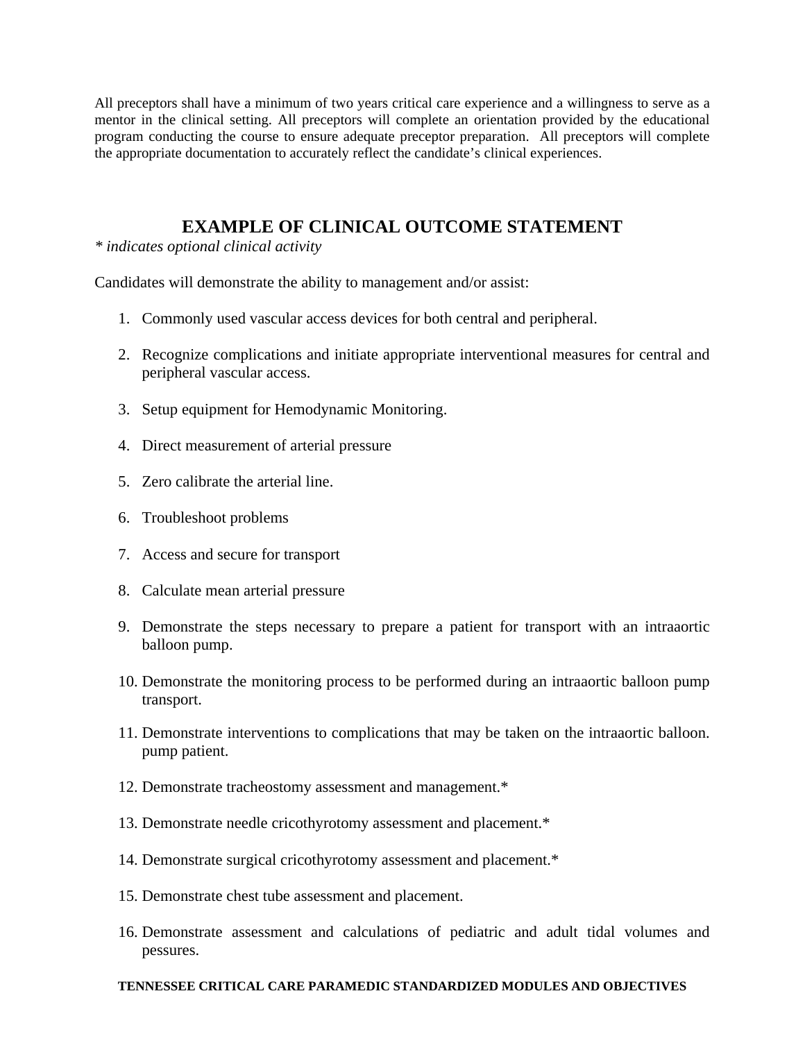All preceptors shall have a minimum of two years critical care experience and a willingness to serve as a mentor in the clinical setting. All preceptors will complete an orientation provided by the educational program conducting the course to ensure adequate preceptor preparation. All preceptors will complete the appropriate documentation to accurately reflect the candidate's clinical experiences.

### **EXAMPLE OF CLINICAL OUTCOME STATEMENT**

*\* indicates optional clinical activity* 

Candidates will demonstrate the ability to management and/or assist:

- 1. Commonly used vascular access devices for both central and peripheral.
- 2. Recognize complications and initiate appropriate interventional measures for central and peripheral vascular access.
- 3. Setup equipment for Hemodynamic Monitoring.
- 4. Direct measurement of arterial pressure
- 5. Zero calibrate the arterial line.
- 6. Troubleshoot problems
- 7. Access and secure for transport
- 8. Calculate mean arterial pressure
- 9. Demonstrate the steps necessary to prepare a patient for transport with an intraaortic balloon pump.
- 10. Demonstrate the monitoring process to be performed during an intraaortic balloon pump transport.
- 11. Demonstrate interventions to complications that may be taken on the intraaortic balloon. pump patient.
- 12. Demonstrate tracheostomy assessment and management.\*
- 13. Demonstrate needle cricothyrotomy assessment and placement.\*
- 14. Demonstrate surgical cricothyrotomy assessment and placement.\*
- 15. Demonstrate chest tube assessment and placement.
- 16. Demonstrate assessment and calculations of pediatric and adult tidal volumes and pessures.

#### **TENNESSEE CRITICAL CARE PARAMEDIC STANDARDIZED MODULES AND OBJECTIVES**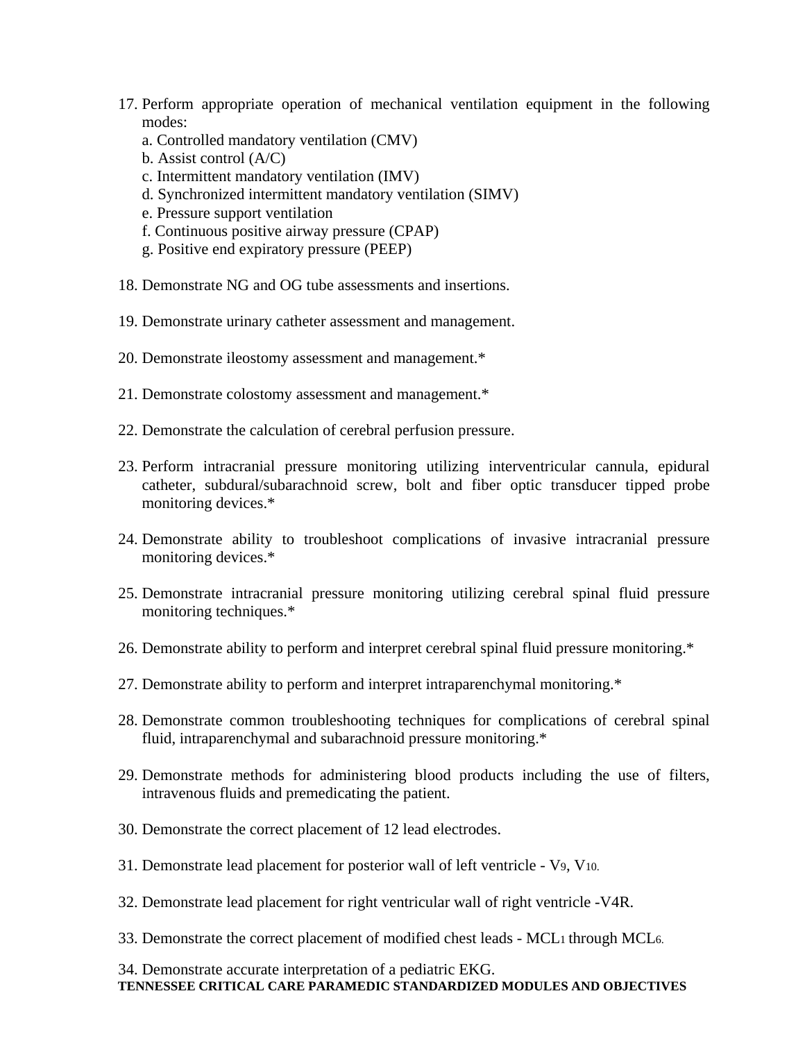- 17. Perform appropriate operation of mechanical ventilation equipment in the following modes:
	- a. Controlled mandatory ventilation (CMV)
	- b. Assist control (A/C)
	- c. Intermittent mandatory ventilation (IMV)
	- d. Synchronized intermittent mandatory ventilation (SIMV)
	- e. Pressure support ventilation
	- f. Continuous positive airway pressure (CPAP)
	- g. Positive end expiratory pressure (PEEP)
- 18. Demonstrate NG and OG tube assessments and insertions.
- 19. Demonstrate urinary catheter assessment and management.
- 20. Demonstrate ileostomy assessment and management.\*
- 21. Demonstrate colostomy assessment and management.\*
- 22. Demonstrate the calculation of cerebral perfusion pressure.
- 23. Perform intracranial pressure monitoring utilizing interventricular cannula, epidural catheter, subdural/subarachnoid screw, bolt and fiber optic transducer tipped probe monitoring devices.\*
- 24. Demonstrate ability to troubleshoot complications of invasive intracranial pressure monitoring devices.\*
- 25. Demonstrate intracranial pressure monitoring utilizing cerebral spinal fluid pressure monitoring techniques.\*
- 26. Demonstrate ability to perform and interpret cerebral spinal fluid pressure monitoring.\*
- 27. Demonstrate ability to perform and interpret intraparenchymal monitoring.\*
- 28. Demonstrate common troubleshooting techniques for complications of cerebral spinal fluid, intraparenchymal and subarachnoid pressure monitoring.\*
- 29. Demonstrate methods for administering blood products including the use of filters, intravenous fluids and premedicating the patient.
- 30. Demonstrate the correct placement of 12 lead electrodes.
- 31. Demonstrate lead placement for posterior wall of left ventricle V9, V10.
- 32. Demonstrate lead placement for right ventricular wall of right ventricle -V4R.
- 33. Demonstrate the correct placement of modified chest leads MCL1 through MCL6.

**TENNESSEE CRITICAL CARE PARAMEDIC STANDARDIZED MODULES AND OBJECTIVES**  34. Demonstrate accurate interpretation of a pediatric EKG.